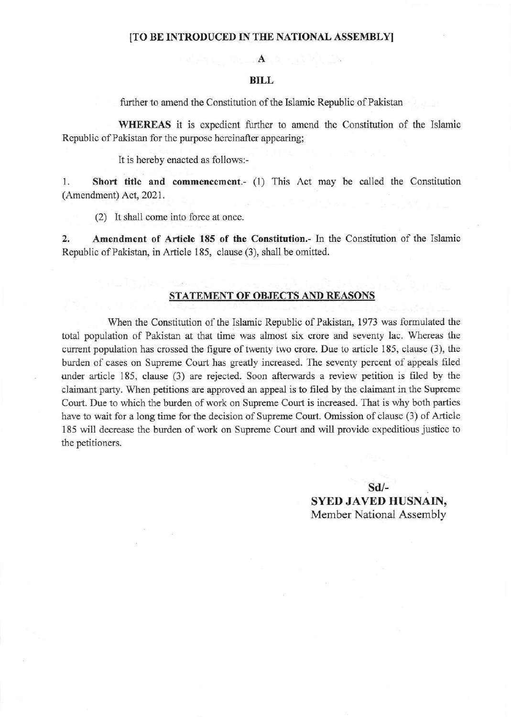## [TO BE INTRODUCED IN THE NATIONAL ASSEMBLY]

# $\mathbf{A}$

## **BILL**

further to amend the Constitution of the Islamic Republic of Pakistan

WHEREAS it is expedient further to amend the Constitution of the Islamic Republic of Pakistan for the purpose hereinafter appearing;

It is hereby enacted as follows:-

 $1.$ Short title and commencement.- (1) This Act may be called the Constitution (Amendment) Act, 2021.

(2) It shall come into force at once.

 $2.$ Amendment of Article 185 of the Constitution.- In the Constitution of the Islamic Republic of Pakistan, in Article 185, clause (3), shall be omitted.

# STATEMENT OF OBJECTS AND REASONS

When the Constitution of the Islamic Republic of Pakistan, 1973 was formulated the total population of Pakistan at that time was almost six crore and seventy lac. Whereas the current population has crossed the figure of twenty two crore. Due to article 185, clause (3), the burden of cases on Supreme Court has greatly increased. The seventy percent of appeals filed under article 185, clause (3) are rejected. Soon afterwards a review petition is filed by the claimant party. When petitions are approved an appeal is to filed by the claimant in the Supreme Court. Due to which the burden of work on Supreme Court is increased. That is why both parties have to wait for a long time for the decision of Supreme Court. Omission of clause (3) of Article 185 will decrease the burden of work on Supreme Court and will provide expeditious justice to the petitioners.

> $Sd$ /-**SYED JAVED HUSNAIN,** Member National Assembly